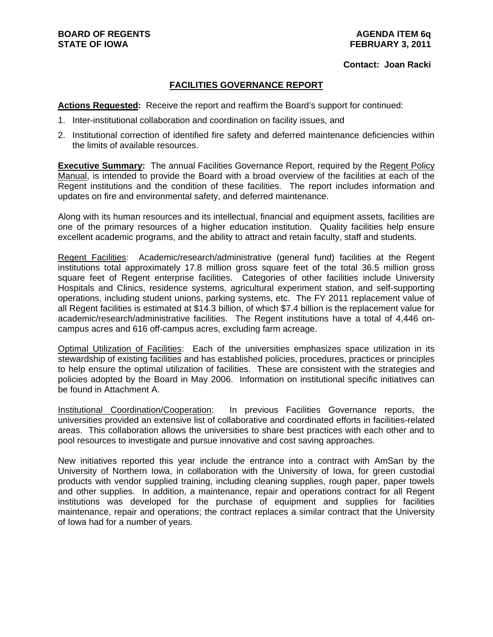#### **Contact: Joan Racki**

## **FACILITIES GOVERNANCE REPORT**

**Actions Requested:** Receive the report and reaffirm the Board's support for continued:

- 1. Inter-institutional collaboration and coordination on facility issues, and
- 2. Institutional correction of identified fire safety and deferred maintenance deficiencies within the limits of available resources.

**Executive Summary:** The annual Facilities Governance Report, required by the Regent Policy Manual, is intended to provide the Board with a broad overview of the facilities at each of the Regent institutions and the condition of these facilities. The report includes information and updates on fire and environmental safety, and deferred maintenance.

Along with its human resources and its intellectual, financial and equipment assets, facilities are one of the primary resources of a higher education institution. Quality facilities help ensure excellent academic programs, and the ability to attract and retain faculty, staff and students.

Regent Facilities: Academic/research/administrative (general fund) facilities at the Regent institutions total approximately 17.8 million gross square feet of the total 36.5 million gross square feet of Regent enterprise facilities. Categories of other facilities include University Hospitals and Clinics, residence systems, agricultural experiment station, and self-supporting operations, including student unions, parking systems, etc. The FY 2011 replacement value of all Regent facilities is estimated at \$14.3 billion, of which \$7.4 billion is the replacement value for academic/research/administrative facilities. The Regent institutions have a total of 4,446 oncampus acres and 616 off-campus acres, excluding farm acreage.

Optimal Utilization of Facilities: Each of the universities emphasizes space utilization in its stewardship of existing facilities and has established policies, procedures, practices or principles to help ensure the optimal utilization of facilities. These are consistent with the strategies and policies adopted by the Board in May 2006. Information on institutional specific initiatives can be found in Attachment A.

Institutional Coordination/Cooperation: In previous Facilities Governance reports, the universities provided an extensive list of collaborative and coordinated efforts in facilities-related areas. This collaboration allows the universities to share best practices with each other and to pool resources to investigate and pursue innovative and cost saving approaches.

New initiatives reported this year include the entrance into a contract with AmSan by the University of Northern Iowa, in collaboration with the University of Iowa, for green custodial products with vendor supplied training, including cleaning supplies, rough paper, paper towels and other supplies. In addition, a maintenance, repair and operations contract for all Regent institutions was developed for the purchase of equipment and supplies for facilities maintenance, repair and operations; the contract replaces a similar contract that the University of Iowa had for a number of years.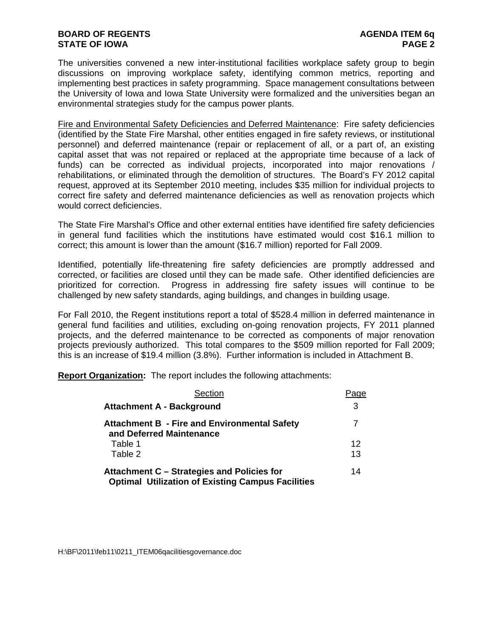## **BOARD OF REGENTS AGENDA ITEM 6q STATE OF IOWA** PAGE 2

The universities convened a new inter-institutional facilities workplace safety group to begin discussions on improving workplace safety, identifying common metrics, reporting and implementing best practices in safety programming. Space management consultations between the University of Iowa and Iowa State University were formalized and the universities began an environmental strategies study for the campus power plants.

Fire and Environmental Safety Deficiencies and Deferred Maintenance: Fire safety deficiencies (identified by the State Fire Marshal, other entities engaged in fire safety reviews, or institutional personnel) and deferred maintenance (repair or replacement of all, or a part of, an existing capital asset that was not repaired or replaced at the appropriate time because of a lack of funds) can be corrected as individual projects, incorporated into major renovations / rehabilitations, or eliminated through the demolition of structures. The Board's FY 2012 capital request, approved at its September 2010 meeting, includes \$35 million for individual projects to correct fire safety and deferred maintenance deficiencies as well as renovation projects which would correct deficiencies.

The State Fire Marshal's Office and other external entities have identified fire safety deficiencies in general fund facilities which the institutions have estimated would cost \$16.1 million to correct; this amount is lower than the amount (\$16.7 million) reported for Fall 2009.

Identified, potentially life-threatening fire safety deficiencies are promptly addressed and corrected, or facilities are closed until they can be made safe. Other identified deficiencies are prioritized for correction. Progress in addressing fire safety issues will continue to be challenged by new safety standards, aging buildings, and changes in building usage.

For Fall 2010, the Regent institutions report a total of \$528.4 million in deferred maintenance in general fund facilities and utilities, excluding on-going renovation projects, FY 2011 planned projects, and the deferred maintenance to be corrected as components of major renovation projects previously authorized. This total compares to the \$509 million reported for Fall 2009; this is an increase of \$19.4 million (3.8%). Further information is included in Attachment B.

**Report Organization:** The report includes the following attachments:

| Section                                                                                                | Page |
|--------------------------------------------------------------------------------------------------------|------|
| <b>Attachment A - Background</b>                                                                       | 3    |
| <b>Attachment B - Fire and Environmental Safety</b><br>and Deferred Maintenance                        | 7    |
| Table 1                                                                                                | 12   |
| Table 2                                                                                                | 13   |
| Attachment C – Strategies and Policies for<br><b>Optimal Utilization of Existing Campus Facilities</b> | 14   |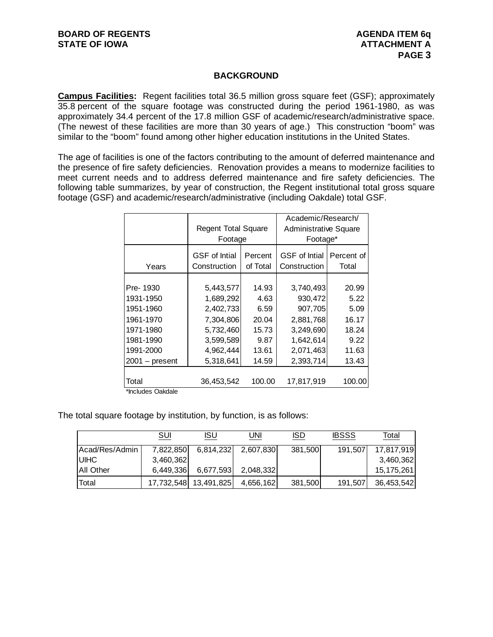## **BACKGROUND**

**Campus Facilities:** Regent facilities total 36.5 million gross square feet (GSF); approximately 35.8 percent of the square footage was constructed during the period 1961-1980, as was approximately 34.4 percent of the 17.8 million GSF of academic/research/administrative space. (The newest of these facilities are more than 30 years of age.) This construction "boom" was similar to the "boom" found among other higher education institutions in the United States.

The age of facilities is one of the factors contributing to the amount of deferred maintenance and the presence of fire safety deficiencies. Renovation provides a means to modernize facilities to meet current needs and to address deferred maintenance and fire safety deficiencies. The following table summarizes, by year of construction, the Regent institutional total gross square footage (GSF) and academic/research/administrative (including Oakdale) total GSF.

|                  |                                      |                     | Academic/Research/                   |                     |
|------------------|--------------------------------------|---------------------|--------------------------------------|---------------------|
|                  | <b>Regent Total Square</b>           |                     | <b>Administrative Square</b>         |                     |
|                  | Footage                              |                     | Footage*                             |                     |
| Years            | <b>GSF</b> of Intial<br>Construction | Percent<br>of Total | <b>GSF</b> of Intial<br>Construction | Percent of<br>Total |
|                  |                                      |                     |                                      |                     |
| Pre-1930         | 5,443,577                            | 14.93               | 3,740,493                            | 20.99               |
| 1931-1950        | 1,689,292                            | 4.63                | 930,472                              | 5.22                |
| 1951-1960        | 2,402,733                            | 6.59                | 907,705                              | 5.09                |
| 1961-1970        | 7,304,806                            | 20.04               | 2,881,768                            | 16.17               |
| 1971-1980        | 5,732,460                            | 15.73               | 3,249,690                            | 18.24               |
| 1981-1990        | 3,599,589                            | 9.87                | 1,642,614                            | 9.22                |
| 1991-2000        | 4,962,444                            | 13.61               | 2,071,463                            | 11.63               |
| $2001 - present$ | 5,318,641                            | 14.59               | 2,393,714                            | 13.43               |
|                  |                                      |                     |                                      |                     |
| Total            | 36,453,542                           | 100.00              | 17,817,919                           | 100.00              |

\*Includes Oakdale

The total square footage by institution, by function, is as follows:

|                  | SUI       | ISU                   | JNI       | <b>ISD</b> | <b>IBSSS</b> | Total      |
|------------------|-----------|-----------------------|-----------|------------|--------------|------------|
| Acad/Res/Admin   | 7,822,850 | 6,814,232             | 2,607,830 | 381,500    | 191,507      | 17,817,919 |
| <b>UIHC</b>      | 3,460,362 |                       |           |            |              | 3,460,362  |
| <b>All Other</b> | 6,449,336 | 6,677,593             | 2,048,332 |            |              | 15,175,261 |
| <b>Total</b>     |           | 17,732,548 13,491,825 | 4,656,162 | 381,500    | 191,507      | 36,453,542 |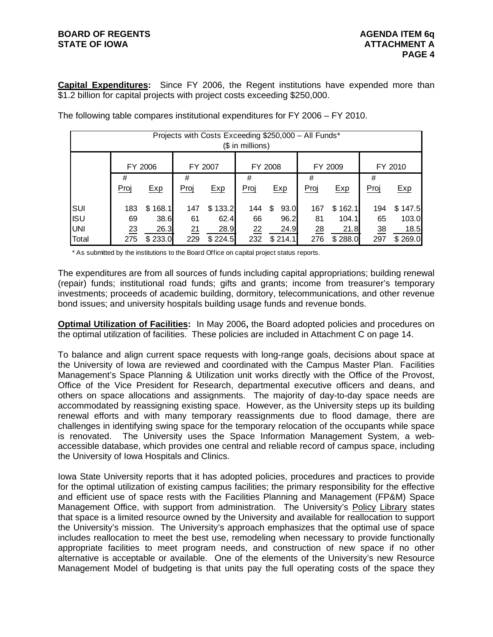# **BOARD OF REGENTS AGENDA ITEM 6q STATE OF IOWA ATTACHMENT A**

**Capital Expenditures:** Since FY 2006, the Regent institutions have expended more than \$1.2 billion for capital projects with project costs exceeding \$250,000.

|            |      |         |      |         | $$$ in millions) |            | Projects with Costs Exceeding \$250,000 - All Funds* |         |                |         |
|------------|------|---------|------|---------|------------------|------------|------------------------------------------------------|---------|----------------|---------|
|            |      | FY 2006 |      | FY 2007 |                  | FY 2008    |                                                      | FY 2009 |                | FY 2010 |
|            | #    |         | #    |         | #                |            | #                                                    |         | #              |         |
|            | Proj | Exp     | Proj | Exp     | Proj             | Exp        | Proj                                                 | Exp     | Proj           | Exp     |
| SUI        | 183  | \$168.1 | 147  | \$133.2 | 144              | 93.0<br>\$ | 167                                                  | \$162.1 | 194            | \$147.5 |
| <b>ISU</b> | 69   | 38.6    | 61   | 62.4    | 66               | 96.2       | 81                                                   | 104.1   | 65             | 103.0   |
| UNI        | 23   | 26.3    | 21   | 28.9    | 22               | 24.9       | 28                                                   | 21.8    | $\frac{38}{5}$ | 18.5    |
| Total      | 275  | \$233.0 | 229  | \$224.5 | 232              | \$214.1    | 276                                                  | \$288.0 | 297            | \$269.0 |

The following table compares institutional expenditures for FY 2006 – FY 2010.

\* As submitted by the institutions to the Board Office on capital project status reports.

The expenditures are from all sources of funds including capital appropriations; building renewal (repair) funds; institutional road funds; gifts and grants; income from treasurer's temporary investments; proceeds of academic building, dormitory, telecommunications, and other revenue bond issues; and university hospitals building usage funds and revenue bonds.

**Optimal Utilization of Facilities:** In May 2006**,** the Board adopted policies and procedures on the optimal utilization of facilities. These policies are included in Attachment C on page 14.

To balance and align current space requests with long-range goals, decisions about space at the University of Iowa are reviewed and coordinated with the Campus Master Plan. Facilities Management's Space Planning & Utilization unit works directly with the Office of the Provost, Office of the Vice President for Research, departmental executive officers and deans, and others on space allocations and assignments. The majority of day-to-day space needs are accommodated by reassigning existing space. However, as the University steps up its building renewal efforts and with many temporary reassignments due to flood damage, there are challenges in identifying swing space for the temporary relocation of the occupants while space is renovated. The University uses the Space Information Management System, a webaccessible database, which provides one central and reliable record of campus space, including the University of Iowa Hospitals and Clinics.

Iowa State University reports that it has adopted policies, procedures and practices to provide for the optimal utilization of existing campus facilities; the primary responsibility for the effective and efficient use of space rests with the Facilities Planning and Management (FP&M) Space Management Office, with support from administration. The University's Policy Library states that space is a limited resource owned by the University and available for reallocation to support the University's mission. The University's approach emphasizes that the optimal use of space includes reallocation to meet the best use, remodeling when necessary to provide functionally appropriate facilities to meet program needs, and construction of new space if no other alternative is acceptable or available. One of the elements of the University's new Resource Management Model of budgeting is that units pay the full operating costs of the space they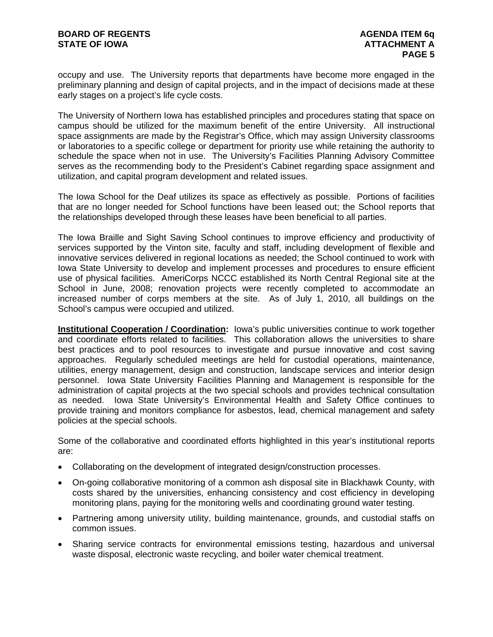occupy and use. The University reports that departments have become more engaged in the preliminary planning and design of capital projects, and in the impact of decisions made at these early stages on a project's life cycle costs.

The University of Northern Iowa has established principles and procedures stating that space on campus should be utilized for the maximum benefit of the entire University. All instructional space assignments are made by the Registrar's Office, which may assign University classrooms or laboratories to a specific college or department for priority use while retaining the authority to schedule the space when not in use. The University's Facilities Planning Advisory Committee serves as the recommending body to the President's Cabinet regarding space assignment and utilization, and capital program development and related issues.

The Iowa School for the Deaf utilizes its space as effectively as possible. Portions of facilities that are no longer needed for School functions have been leased out; the School reports that the relationships developed through these leases have been beneficial to all parties.

The Iowa Braille and Sight Saving School continues to improve efficiency and productivity of services supported by the Vinton site, faculty and staff, including development of flexible and innovative services delivered in regional locations as needed; the School continued to work with Iowa State University to develop and implement processes and procedures to ensure efficient use of physical facilities. AmeriCorps NCCC established its North Central Regional site at the School in June, 2008; renovation projects were recently completed to accommodate an increased number of corps members at the site. As of July 1, 2010, all buildings on the School's campus were occupied and utilized.

**Institutional Cooperation / Coordination:** Iowa's public universities continue to work together and coordinate efforts related to facilities. This collaboration allows the universities to share best practices and to pool resources to investigate and pursue innovative and cost saving approaches. Regularly scheduled meetings are held for custodial operations, maintenance, utilities, energy management, design and construction, landscape services and interior design personnel. Iowa State University Facilities Planning and Management is responsible for the administration of capital projects at the two special schools and provides technical consultation as needed. Iowa State University's Environmental Health and Safety Office continues to provide training and monitors compliance for asbestos, lead, chemical management and safety policies at the special schools.

Some of the collaborative and coordinated efforts highlighted in this year's institutional reports are:

- Collaborating on the development of integrated design/construction processes.
- On-going collaborative monitoring of a common ash disposal site in Blackhawk County, with costs shared by the universities, enhancing consistency and cost efficiency in developing monitoring plans, paying for the monitoring wells and coordinating ground water testing.
- Partnering among university utility, building maintenance, grounds, and custodial staffs on common issues.
- Sharing service contracts for environmental emissions testing, hazardous and universal waste disposal, electronic waste recycling, and boiler water chemical treatment.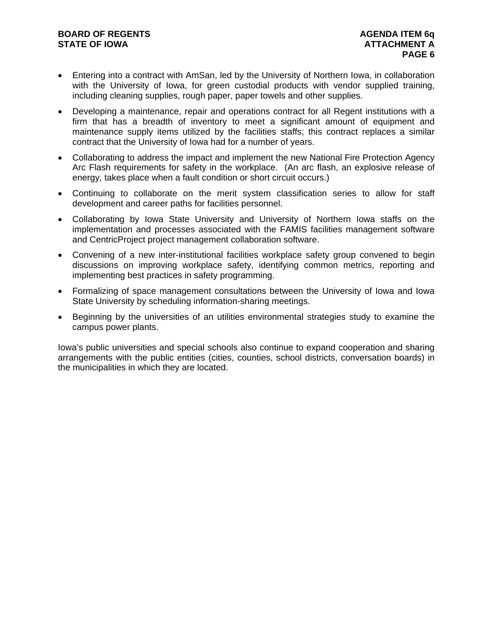# **BOARD OF REGENTS AGENDA ITEM 6q STATE OF IOWA ATTACHMENT A**

- Entering into a contract with AmSan, led by the University of Northern Iowa, in collaboration with the University of Iowa, for green custodial products with vendor supplied training, including cleaning supplies, rough paper, paper towels and other supplies.
- Developing a maintenance, repair and operations contract for all Regent institutions with a firm that has a breadth of inventory to meet a significant amount of equipment and maintenance supply items utilized by the facilities staffs; this contract replaces a similar contract that the University of Iowa had for a number of years.
- Collaborating to address the impact and implement the new National Fire Protection Agency Arc Flash requirements for safety in the workplace. (An arc flash, an explosive release of energy, takes place when a fault condition or short circuit occurs.)
- Continuing to collaborate on the merit system classification series to allow for staff development and career paths for facilities personnel.
- Collaborating by Iowa State University and University of Northern Iowa staffs on the implementation and processes associated with the FAMIS facilities management software and CentricProject project management collaboration software.
- Convening of a new inter-institutional facilities workplace safety group convened to begin discussions on improving workplace safety, identifying common metrics, reporting and implementing best practices in safety programming.
- Formalizing of space management consultations between the University of Iowa and Iowa State University by scheduling information-sharing meetings.
- Beginning by the universities of an utilities environmental strategies study to examine the campus power plants.

Iowa's public universities and special schools also continue to expand cooperation and sharing arrangements with the public entities (cities, counties, school districts, conversation boards) in the municipalities in which they are located.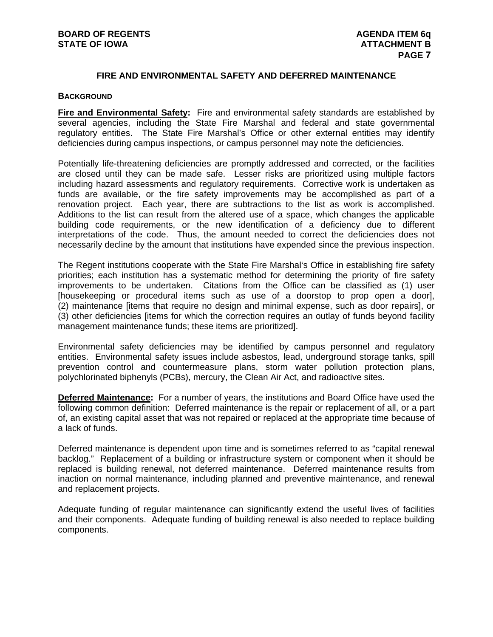# **FIRE AND ENVIRONMENTAL SAFETY AND DEFERRED MAINTENANCE**

#### **BACKGROUND**

**Fire and Environmental Safety:** Fire and environmental safety standards are established by several agencies, including the State Fire Marshal and federal and state governmental regulatory entities. The State Fire Marshal's Office or other external entities may identify deficiencies during campus inspections, or campus personnel may note the deficiencies.

Potentially life-threatening deficiencies are promptly addressed and corrected, or the facilities are closed until they can be made safe. Lesser risks are prioritized using multiple factors including hazard assessments and regulatory requirements. Corrective work is undertaken as funds are available, or the fire safety improvements may be accomplished as part of a renovation project. Each year, there are subtractions to the list as work is accomplished. Additions to the list can result from the altered use of a space, which changes the applicable building code requirements, or the new identification of a deficiency due to different interpretations of the code. Thus, the amount needed to correct the deficiencies does not necessarily decline by the amount that institutions have expended since the previous inspection.

The Regent institutions cooperate with the State Fire Marshal's Office in establishing fire safety priorities; each institution has a systematic method for determining the priority of fire safety improvements to be undertaken. Citations from the Office can be classified as (1) user [housekeeping or procedural items such as use of a doorstop to prop open a door], (2) maintenance [items that require no design and minimal expense, such as door repairs], or (3) other deficiencies [items for which the correction requires an outlay of funds beyond facility management maintenance funds; these items are prioritized].

Environmental safety deficiencies may be identified by campus personnel and regulatory entities. Environmental safety issues include asbestos, lead, underground storage tanks, spill prevention control and countermeasure plans, storm water pollution protection plans, polychlorinated biphenyls (PCBs), mercury, the Clean Air Act, and radioactive sites.

**Deferred Maintenance:** For a number of years, the institutions and Board Office have used the following common definition: Deferred maintenance is the repair or replacement of all, or a part of, an existing capital asset that was not repaired or replaced at the appropriate time because of a lack of funds.

Deferred maintenance is dependent upon time and is sometimes referred to as "capital renewal backlog." Replacement of a building or infrastructure system or component when it should be replaced is building renewal, not deferred maintenance. Deferred maintenance results from inaction on normal maintenance, including planned and preventive maintenance, and renewal and replacement projects.

Adequate funding of regular maintenance can significantly extend the useful lives of facilities and their components. Adequate funding of building renewal is also needed to replace building components.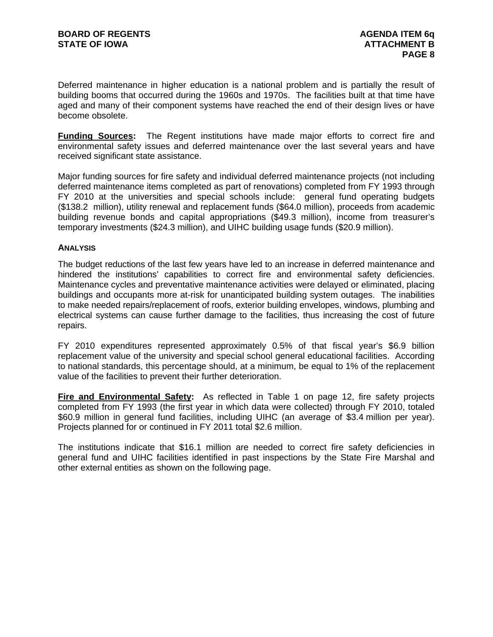Deferred maintenance in higher education is a national problem and is partially the result of building booms that occurred during the 1960s and 1970s. The facilities built at that time have aged and many of their component systems have reached the end of their design lives or have become obsolete.

**Funding Sources:** The Regent institutions have made major efforts to correct fire and environmental safety issues and deferred maintenance over the last several years and have received significant state assistance.

Major funding sources for fire safety and individual deferred maintenance projects (not including deferred maintenance items completed as part of renovations) completed from FY 1993 through FY 2010 at the universities and special schools include: general fund operating budgets (\$138.2 million), utility renewal and replacement funds (\$64.0 million), proceeds from academic building revenue bonds and capital appropriations (\$49.3 million), income from treasurer's temporary investments (\$24.3 million), and UIHC building usage funds (\$20.9 million).

#### **ANALYSIS**

The budget reductions of the last few years have led to an increase in deferred maintenance and hindered the institutions' capabilities to correct fire and environmental safety deficiencies. Maintenance cycles and preventative maintenance activities were delayed or eliminated, placing buildings and occupants more at-risk for unanticipated building system outages. The inabilities to make needed repairs/replacement of roofs, exterior building envelopes, windows, plumbing and electrical systems can cause further damage to the facilities, thus increasing the cost of future repairs.

FY 2010 expenditures represented approximately 0.5% of that fiscal year's \$6.9 billion replacement value of the university and special school general educational facilities. According to national standards, this percentage should, at a minimum, be equal to 1% of the replacement value of the facilities to prevent their further deterioration.

**Fire and Environmental Safety:** As reflected in Table 1 on page 12, fire safety projects completed from FY 1993 (the first year in which data were collected) through FY 2010, totaled \$60.9 million in general fund facilities, including UIHC (an average of \$3.4 million per year). Projects planned for or continued in FY 2011 total \$2.6 million.

The institutions indicate that \$16.1 million are needed to correct fire safety deficiencies in general fund and UIHC facilities identified in past inspections by the State Fire Marshal and other external entities as shown on the following page.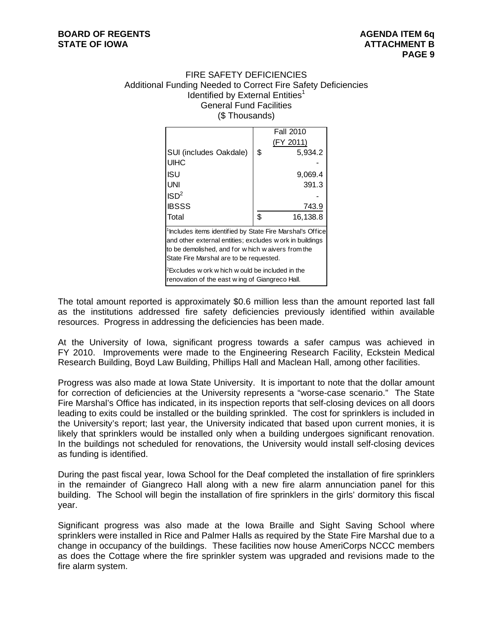## FIRE SAFETY DEFICIENCIES Additional Funding Needed to Correct Fire Safety Deficiencies Identified by External Entities $1$ General Fund Facilities (\$ Thousands)

|                                                                                                                                                                                                                                    | <b>Fall 2010</b> |
|------------------------------------------------------------------------------------------------------------------------------------------------------------------------------------------------------------------------------------|------------------|
|                                                                                                                                                                                                                                    | (FY 2011)        |
| SUI (includes Oakdale)                                                                                                                                                                                                             | \$<br>5,934.2    |
| <b>UIHC</b>                                                                                                                                                                                                                        |                  |
| ISU                                                                                                                                                                                                                                | 9,069.4          |
| UNI                                                                                                                                                                                                                                | 391.3            |
| ISD <sup>2</sup>                                                                                                                                                                                                                   |                  |
| <b>IBSSS</b>                                                                                                                                                                                                                       | 743.9            |
| Total                                                                                                                                                                                                                              | \$<br>16,138.8   |
| <sup>1</sup> Includes items identified by State Fire Marshal's Office<br>and other external entities; excludes w ork in buildings<br>to be demolished, and for w hich w aivers from the<br>State Fire Marshal are to be requested. |                  |
| ${}^{2}$ Excludes w ork w hich w ould be included in the<br>renovation of the east wing of Giangreco Hall.                                                                                                                         |                  |

The total amount reported is approximately \$0.6 million less than the amount reported last fall as the institutions addressed fire safety deficiencies previously identified within available resources. Progress in addressing the deficiencies has been made.

At the University of Iowa, significant progress towards a safer campus was achieved in FY 2010. Improvements were made to the Engineering Research Facility, Eckstein Medical Research Building, Boyd Law Building, Phillips Hall and Maclean Hall, among other facilities.

Progress was also made at Iowa State University. It is important to note that the dollar amount for correction of deficiencies at the University represents a "worse-case scenario." The State Fire Marshal's Office has indicated, in its inspection reports that self-closing devices on all doors leading to exits could be installed or the building sprinkled. The cost for sprinklers is included in the University's report; last year, the University indicated that based upon current monies, it is likely that sprinklers would be installed only when a building undergoes significant renovation. In the buildings not scheduled for renovations, the University would install self-closing devices as funding is identified.

During the past fiscal year, Iowa School for the Deaf completed the installation of fire sprinklers in the remainder of Giangreco Hall along with a new fire alarm annunciation panel for this building. The School will begin the installation of fire sprinklers in the girls' dormitory this fiscal year.

Significant progress was also made at the Iowa Braille and Sight Saving School where sprinklers were installed in Rice and Palmer Halls as required by the State Fire Marshal due to a change in occupancy of the buildings. These facilities now house AmeriCorps NCCC members as does the Cottage where the fire sprinkler system was upgraded and revisions made to the fire alarm system.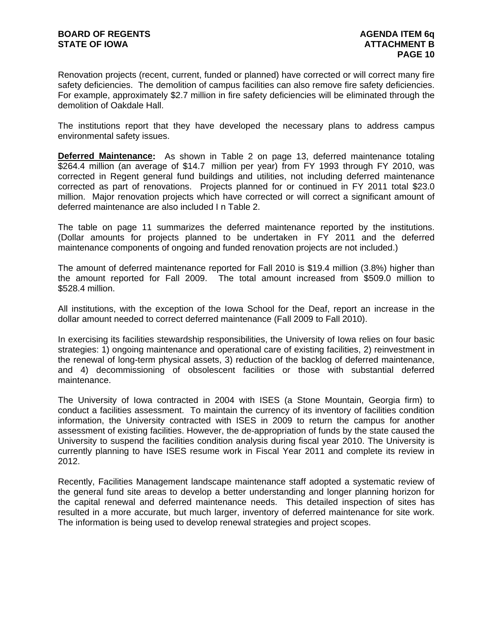Renovation projects (recent, current, funded or planned) have corrected or will correct many fire safety deficiencies. The demolition of campus facilities can also remove fire safety deficiencies. For example, approximately \$2.7 million in fire safety deficiencies will be eliminated through the demolition of Oakdale Hall.

The institutions report that they have developed the necessary plans to address campus environmental safety issues.

**Deferred Maintenance:** As shown in Table 2 on page 13, deferred maintenance totaling \$264.4 million (an average of \$14.7 million per year) from FY 1993 through FY 2010, was corrected in Regent general fund buildings and utilities, not including deferred maintenance corrected as part of renovations. Projects planned for or continued in FY 2011 total \$23.0 million. Major renovation projects which have corrected or will correct a significant amount of deferred maintenance are also included I n Table 2.

The table on page 11 summarizes the deferred maintenance reported by the institutions. (Dollar amounts for projects planned to be undertaken in FY 2011 and the deferred maintenance components of ongoing and funded renovation projects are not included.)

The amount of deferred maintenance reported for Fall 2010 is \$19.4 million (3.8%) higher than the amount reported for Fall 2009. The total amount increased from \$509.0 million to \$528.4 million.

All institutions, with the exception of the Iowa School for the Deaf, report an increase in the dollar amount needed to correct deferred maintenance (Fall 2009 to Fall 2010).

In exercising its facilities stewardship responsibilities, the University of Iowa relies on four basic strategies: 1) ongoing maintenance and operational care of existing facilities, 2) reinvestment in the renewal of long-term physical assets, 3) reduction of the backlog of deferred maintenance, and 4) decommissioning of obsolescent facilities or those with substantial deferred maintenance.

The University of Iowa contracted in 2004 with ISES (a Stone Mountain, Georgia firm) to conduct a facilities assessment. To maintain the currency of its inventory of facilities condition information, the University contracted with ISES in 2009 to return the campus for another assessment of existing facilities. However, the de-appropriation of funds by the state caused the University to suspend the facilities condition analysis during fiscal year 2010. The University is currently planning to have ISES resume work in Fiscal Year 2011 and complete its review in 2012.

Recently, Facilities Management landscape maintenance staff adopted a systematic review of the general fund site areas to develop a better understanding and longer planning horizon for the capital renewal and deferred maintenance needs. This detailed inspection of sites has resulted in a more accurate, but much larger, inventory of deferred maintenance for site work. The information is being used to develop renewal strategies and project scopes.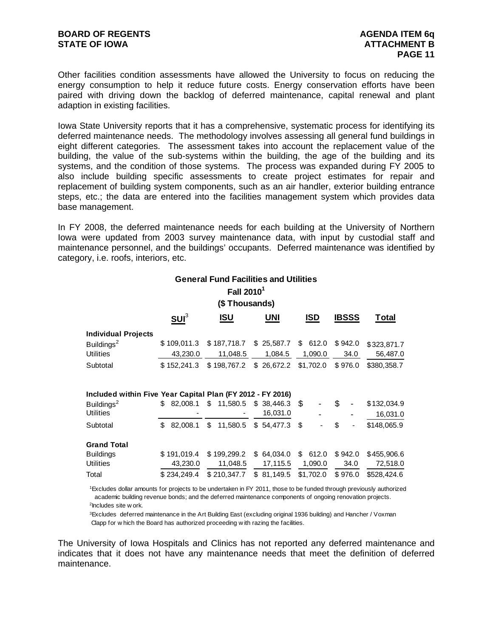Other facilities condition assessments have allowed the University to focus on reducing the energy consumption to help it reduce future costs. Energy conservation efforts have been paired with driving down the backlog of deferred maintenance, capital renewal and plant adaption in existing facilities.

Iowa State University reports that it has a comprehensive, systematic process for identifying its deferred maintenance needs. The methodology involves assessing all general fund buildings in eight different categories. The assessment takes into account the replacement value of the building, the value of the sub-systems within the building, the age of the building and its systems, and the condition of those systems. The process was expanded during FY 2005 to also include building specific assessments to create project estimates for repair and replacement of building system components, such as an air handler, exterior building entrance steps, etc.; the data are entered into the facilities management system which provides data base management.

In FY 2008, the deferred maintenance needs for each building at the University of Northern Iowa were updated from 2003 survey maintenance data, with input by custodial staff and maintenance personnel, and the buildings' occupants. Deferred maintenance was identified by category, i.e. roofs, interiors, etc.

|                                                            |                 | <b>General Fund Facilities and Utilities</b> |                |           |              |             |
|------------------------------------------------------------|-----------------|----------------------------------------------|----------------|-----------|--------------|-------------|
|                                                            |                 | Fall 2010 <sup>1</sup>                       |                |           |              |             |
|                                                            |                 | (\$ Thousands)                               |                |           |              |             |
|                                                            | SU <sup>3</sup> | <b>ISU</b>                                   | UNI            | ISD       | <b>IBSSS</b> | Total       |
| <b>Individual Projects</b>                                 |                 |                                              |                |           |              |             |
| Buildings <sup>2</sup>                                     | \$109,011.3     | \$187,718.7                                  | \$25,587.7     | \$612.0   | \$942.0      | \$323,871.7 |
| <b>Utilities</b>                                           | 43,230.0        | 11,048.5                                     | 1,084.5        | 1,090.0   | 34.0         | 56,487.0    |
| Subtotal                                                   | \$152,241.3     | \$198,767.2                                  | \$26,672.2     | \$1,702.0 | \$976.0      | \$380,358.7 |
| Included within Five Year Capital Plan (FY 2012 - FY 2016) |                 |                                              |                |           |              |             |
| Buildings <sup>2</sup>                                     | 82,008.1<br>\$  | \$<br>11,580.5                               | \$38,446.3     | \$        | \$.          | \$132,034.9 |
| <b>Utilities</b>                                           |                 |                                              | 16,031.0       |           |              | 16,031.0    |
| Subtotal                                                   | \$<br>82,008.1  | \$<br>11,580.5                               | \$54,477.3     | \$        | \$           | \$148,065.9 |
| <b>Grand Total</b>                                         |                 |                                              |                |           |              |             |
| <b>Buildings</b>                                           | \$191,019.4     | \$199,299.2                                  | \$<br>64,034.0 | \$612.0   | \$942.0      | \$455,906.6 |
| <b>Utilities</b>                                           | 43,230.0        | 11,048.5                                     | 17,115.5       | 1,090.0   | 34.0         | 72,518.0    |
| Total                                                      | \$234,249.4     | \$210,347.7                                  | \$81,149.5     | \$1,702.0 | \$976.0      | \$528,424.6 |

 1Excludes dollar amounts for projects to be undertaken in FY 2011, those to be funded through previously authorized 2Includes site w ork. academic building revenue bonds; and the deferred maintenance components of ongoing renovation projects.

 Clapp for w hich the Board has authorized proceeding w ith razing the facilities. 3Excludes deferred maintenance in the Art Building East (excluding original 1936 building) and Hancher / Voxman

The University of Iowa Hospitals and Clinics has not reported any deferred maintenance and indicates that it does not have any maintenance needs that meet the definition of deferred maintenance.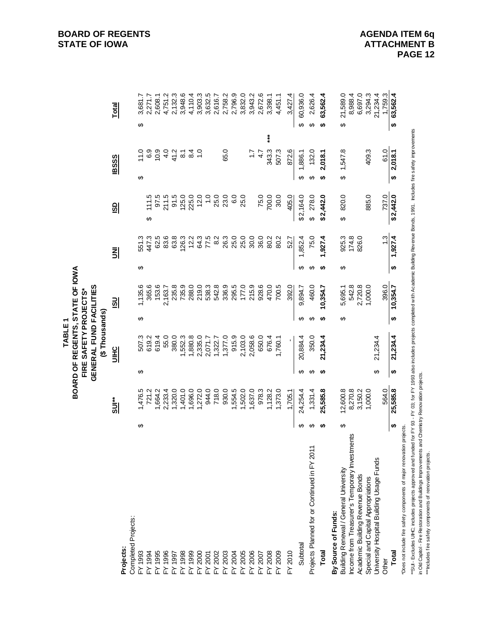|                                                                                                                                                                                                         |          |                    |   | TABLE 1                                                                             |           |                  |   |                |                   |           |                   |           |                    |
|---------------------------------------------------------------------------------------------------------------------------------------------------------------------------------------------------------|----------|--------------------|---|-------------------------------------------------------------------------------------|-----------|------------------|---|----------------|-------------------|-----------|-------------------|-----------|--------------------|
|                                                                                                                                                                                                         |          |                    |   | BOARD OF REGENTS, STATE OF IOWA<br>GENERAL FUND FACILITIES<br>FIRE SAFETY PROJECTS* |           |                  |   |                |                   |           |                   |           |                    |
|                                                                                                                                                                                                         |          |                    |   | (\$Thousands)                                                                       |           |                  |   |                |                   |           |                   |           |                    |
|                                                                                                                                                                                                         |          | $\frac{1}{2}$      |   | <b>UIHC</b>                                                                         |           | <u>so</u>        |   | 킭              | <u>GD</u>         |           | <b>IBSSS</b>      |           | <b>Total</b>       |
| Projects:                                                                                                                                                                                               |          |                    |   |                                                                                     |           |                  |   |                |                   |           |                   |           |                    |
| Completed Projects:                                                                                                                                                                                     |          |                    |   |                                                                                     |           |                  |   |                |                   |           |                   |           |                    |
| FY 1993                                                                                                                                                                                                 | ↮        | 1,476.5            | ↮ | 507.3                                                                               | ↮         | 1,135.6          | ↮ | 551.3          |                   | ക         | 11.0              | ↮         | 3,681.7            |
| $-4.1994$                                                                                                                                                                                               |          | 721.2              |   | 619.2                                                                               |           | 365.6            |   | 447.3          | 111.5<br>↮        |           | 6.9               |           | 2,271.7            |
| FY 1995                                                                                                                                                                                                 |          | 1,664.2            |   | 619.4                                                                               |           | 153.6            |   | 62.5           | 97.5              |           | 10.9              |           | 2,608.1            |
| FY 1996                                                                                                                                                                                                 |          | 2,233.4            |   | 55.0                                                                                |           | 2,163.7          |   | 83.6           | 211.5             |           | 4.0               |           | 4,751.2            |
|                                                                                                                                                                                                         |          | 1,320.0            |   | 380.0                                                                               |           | 235.8            |   | 63.8           | 91.5              |           | 41.2              |           | 2,132.3            |
|                                                                                                                                                                                                         |          | 1,401.0            |   | 1,552.3                                                                             |           | 735.9            |   | 126.3          | 125.0             |           | $\overline{8}$ .1 |           | 3,948.6            |
|                                                                                                                                                                                                         |          | 1,696.0            |   | 1,880.8                                                                             |           | 288.0            |   | 12.2           | 225.0             |           | $8\overline{4}$   |           | 4,110.4            |
|                                                                                                                                                                                                         |          | 1,272.0            |   | 2,335.0                                                                             |           | 219.0            |   | 64.3           | 12.0              |           | $\frac{0}{1}$     |           | 3,903.3            |
|                                                                                                                                                                                                         |          | 944.0              |   | 2,071.7                                                                             |           | 538.3            |   | 77.5           | $\overline{1}$ .0 |           |                   |           | 3,632.5            |
|                                                                                                                                                                                                         |          | 718.0              |   | 1,322.7                                                                             |           | 542.8            |   | 8.2            | 25.0              |           |                   |           | 2,616.7            |
| FY 1997<br>FY 1998<br>FY 1998<br>FY 2001<br>FY 2002<br>FY 2003                                                                                                                                          |          | 930.0              |   | 1,377.0                                                                             |           | 336.9            |   | 26.3           | 23.0              |           | 65.0              |           | 2,758.2            |
| FY 2004<br>FY 2005<br>FY 2006                                                                                                                                                                           |          | 1,554.5            |   | 915.9                                                                               |           | 295.5            |   | 25.0           | 6.0               |           |                   |           | 2,796.9            |
|                                                                                                                                                                                                         |          | 1,502.0            |   | 2,103.0                                                                             |           | 177.0            |   | 25.0           | 25.0              |           |                   |           | 3,832.0            |
|                                                                                                                                                                                                         |          | 1,637.0            |   | 2,058.6                                                                             |           | 215.9            |   | 30.0           |                   |           | $\ddot{ }$ :      |           | 3,943.2            |
| FY 2007                                                                                                                                                                                                 |          | 978.3              |   | 650.0                                                                               |           | 928.6            |   | 36.0           | 75.0              |           | 4.7               |           | 2,672.6            |
| $-Y2008$                                                                                                                                                                                                |          | 1,128.2            |   | 676.4                                                                               |           | 470.0            |   | 80.2           | 700.0             |           | 343.3             |           | 3,398.1            |
| <b>EOOS</b>                                                                                                                                                                                             |          | 1,373.0            |   | 1,760.1                                                                             |           | 700.5            |   | 80.2           | 30.0              |           | 507.3             |           | 4,451.1            |
| $-Y 2010$                                                                                                                                                                                               |          | 1,705.1            |   |                                                                                     |           | 392.0            |   | 52.7           | 405.0             |           | 872.6             |           | 3,427.4            |
| Subtotal                                                                                                                                                                                                | ↮        | 24,254.4           | ↮ | 20,884.4                                                                            | ↮         | 9,894.7          | ↮ | 1,852.4        | \$2,164.0         | ↮         | 1,886.1           | ↮         | 60,936.0           |
| Projects Planned for or Continued in FY 2011                                                                                                                                                            | ↮        | 1,331.4            | ↮ | 350.0                                                                               | ↮         | 460.0            | ↮ | 75.0           | 278.0<br>$\theta$ | ↮         | 132.0             | ↮         | 2,626.4            |
| Total                                                                                                                                                                                                   | ↮        | 25,585.8           | ↮ | 21,234.4                                                                            | ↮         | 10,354.7         | ↮ | 1,927.4        | \$2,442.0         | ↮         | 2,018.1           | ↮         | 63,562.4           |
| By Source of Funds:                                                                                                                                                                                     |          |                    |   |                                                                                     |           |                  |   |                |                   |           |                   |           |                    |
| Building Renewal / General University                                                                                                                                                                   | ↮        | 12,600.8           |   |                                                                                     | ↮         | 5,695.1          | ↮ | 925.3          | 820.0<br>↮        | ↮         | 1,547.8           | ↔         | 21,589.0           |
| Income from Treasurer's Temporary Investments<br>Academic Building Revenue Bonds                                                                                                                        |          | 8,270.8<br>3,150.2 |   |                                                                                     |           | 2,720.8<br>542.8 |   | 826.0<br>174.8 |                   |           |                   |           | 8,988.4<br>6,697.0 |
| Special and Capital Appropriations                                                                                                                                                                      |          | 1,000.0            |   |                                                                                     |           | 1,000.0          |   |                | 885.0             |           | 409.3             |           | 3,294.3            |
| University Hospital Building Usage Funds                                                                                                                                                                |          |                    | ↮ | 21,234.4                                                                            |           |                  |   |                |                   |           |                   |           | 21,234.4           |
| Other                                                                                                                                                                                                   |          | 564.0              |   |                                                                                     |           | 396.0            |   | $\frac{3}{2}$  | 737.0             |           | 61.0              |           | 1,759.3            |
| Total                                                                                                                                                                                                   | $\theta$ | 25,585.8           | ↮ | 21,234.4                                                                            | $\bullet$ | 10,354.7         | ↮ | 1,927.4        | \$2,442.0         | \$2,018.1 |                   | $\bullet$ | 63,562.4           |
| Does not include fire safety components of major renovation projects.                                                                                                                                   |          |                    |   |                                                                                     |           |                  |   |                |                   |           |                   |           |                    |
| "SUI - Excludes UHC; includes projects approved and funded for FY 93- FY 03; for FY 1993 also includes projects completed with Academic Building Revenue Bonds, 1991. Includes fire safety improvements |          |                    |   |                                                                                     |           |                  |   |                |                   |           |                   |           |                    |
| in Old Capitol - Fire Restoration and Buildings Improvements and Chemistry Renovation projects.<br>**Includes fire safety components of renovation projects.                                            |          |                    |   |                                                                                     |           |                  |   |                |                   |           |                   |           |                    |
|                                                                                                                                                                                                         |          |                    |   |                                                                                     |           |                  |   |                |                   |           |                   |           |                    |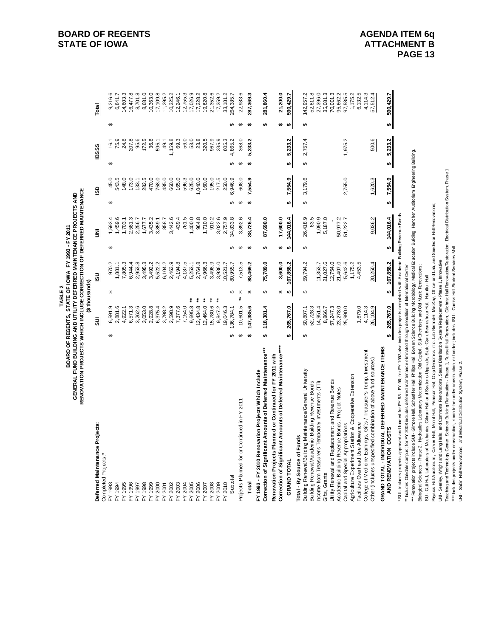|                                                                                                                                                                                                                                                                                                               |    | BOARD OF REGENTS, STATE OF IOWA FY 1993 - FY 2011 | <b>TABLE 2</b> |                      |     |                    |    |                |              |                |           |                      |
|---------------------------------------------------------------------------------------------------------------------------------------------------------------------------------------------------------------------------------------------------------------------------------------------------------------|----|---------------------------------------------------|----------------|----------------------|-----|--------------------|----|----------------|--------------|----------------|-----------|----------------------|
| RENOVATION PROJECTS WHICH INCLUDE CORRECTION OF DEFERRED MAINTENANCE<br>GENERAL FUND BUILDING AND UTILITY DEFERRED MAINTENANCE PROJECTS AND                                                                                                                                                                   |    |                                                   |                |                      |     |                    |    |                |              |                |           |                      |
|                                                                                                                                                                                                                                                                                                               |    |                                                   | (\$thousands)  |                      |     |                    |    |                |              |                |           |                      |
| Deferred Maintenance Projects:<br>Completed Projects:*                                                                                                                                                                                                                                                        |    | 5ll                                               |                | $\frac{1}{2}$        |     | 킭                  |    | $\frac{5}{2}$  | <b>IBSSS</b> |                |           | <b>Total</b>         |
| FY 1993                                                                                                                                                                                                                                                                                                       | ↮  | 6,591.9                                           | ↔              | 970.2                | မာ  | 1,593.4            | œ  | 45.0           | €            | 16.1           | œ         | 9,216.6              |
| FY 1994                                                                                                                                                                                                                                                                                                       |    | 2,881.6                                           |                | 1,881.1              |     | 1,459.6            |    | 543.5          |              | 75.9           |           | 6,841.7              |
| FY 1995                                                                                                                                                                                                                                                                                                       |    | 4,922.1                                           |                | 7,805.3              |     | 1,703.1            |    | 148.0          |              | 24.8           |           | 14,603.3             |
| FY 1996                                                                                                                                                                                                                                                                                                       |    | 6,571.3                                           |                | 6,944.4              |     | 2,581.3            |    | 173.0          |              | 207.8          |           | 16,477.8             |
| FY 1998<br>FY 1997                                                                                                                                                                                                                                                                                            |    | 3,053.0<br>3,262.6                                |                | 2,953.8<br>3,495.3   |     | 2,256.7            |    | 282.5<br>133.1 |              | 172.5<br>95.6  |           | 8,701.8<br>8,681.0   |
| FY 1999                                                                                                                                                                                                                                                                                                       |    | 2,928.8                                           |                | 3,492.2              |     | 3,435.2<br>1,677.7 |    | 470.0          |              | 36.8           |           | 10,363.0             |
| FY 2000                                                                                                                                                                                                                                                                                                       |    | 6,375.4                                           |                | 5,522.2              |     | 3,859.1            |    | 758.0          |              | 595.1          |           | 17,109.8             |
| FY 2001                                                                                                                                                                                                                                                                                                       |    | 3,798.2                                           |                | 6,104.2              |     | 858.7              |    | 485.0          |              | 49.1           |           | 11,295.2             |
| FY 2002                                                                                                                                                                                                                                                                                                       |    | 2,598.9                                           |                | 2,463.9              |     | 3,442.6            |    | 660.0          |              | 1,159.8        |           | 10,325.2             |
| 2003<br>≿์                                                                                                                                                                                                                                                                                                    |    | 7,377.6                                           |                | 4,194.8              |     | 439.4              |    | 165.0          |              | 69.3<br>56.0   |           | 12,246.1             |
| 2004<br>.<br>ک                                                                                                                                                                                                                                                                                                |    | 7,154.0                                           |                | 4,187.5              |     | 761.5              |    | 596.3          |              |                |           | 12,755.3             |
| FY 2005                                                                                                                                                                                                                                                                                                       |    | ŧ<br>9,695.8                                      |                | 5,253.1              |     | 1,400.0            |    | 625.0          |              | 53.0           |           | 17,026.9             |
| FY 2006                                                                                                                                                                                                                                                                                                       |    | ŧ<br>ŧ<br>12,434.8                                |                | 2,764.8              |     | 964.8              |    | ,040.0         |              | 23.8           |           | 17,228.2             |
| FY 2008<br>2007<br>$\sum$                                                                                                                                                                                                                                                                                     |    | $\ddot{*}$<br>12,464.0                            |                | 3,498.9<br>4,966.3   |     | 1,710.0            |    | 160.0          |              | 320.5<br>967.9 |           | 19,620.8             |
| FY 2009                                                                                                                                                                                                                                                                                                       |    | $\ddot{\ddot{\ast}}$<br>15,780.6<br>9,847.2       |                | 3,936.0              |     | 910.2<br>3,022.6   |    | 195.0<br>217.5 |              | 335.9          |           | 21,352.6<br>17,359.2 |
| 2010<br>。<br>「                                                                                                                                                                                                                                                                                                |    | 9,046.3                                           |                | 10,521.7             |     | 2,757.9            |    | 250.0          |              | 605.3          |           | 33, 181.2            |
| Subtotal                                                                                                                                                                                                                                                                                                      | မာ | 36,784.1                                          | Θ              | 30,955.7             |     | 34,833.8           |    | 6,946.9        | Θ            | 865.2          | f۵        | 264,385.7            |
| Projects Planned for or Continued in FY 2011                                                                                                                                                                                                                                                                  | ↮  | 10,601.5                                          | ↔              | 7,513.5              |     | 3,892.6            | မာ | 608.0          | $\Theta$     | 368.0          | $\theta$  | 22,983.6             |
| Total                                                                                                                                                                                                                                                                                                         | tA | 147,385.6                                         | <b>HA</b>      | 88,469.              |     | 38,726.4           |    | 7,554.9        | <b>HA</b>    | 5,233.2        | <b>HA</b> | 287,369.3            |
| FY 1993 - FY 2010 Renovation Projects Which Include                                                                                                                                                                                                                                                           |    |                                                   |                |                      |     |                    |    |                |              |                |           |                      |
| Correction of Significant Amounts of Deferred Maintenance***                                                                                                                                                                                                                                                  | ₩  | 118,381.4                                         | ↮              | 75,789.0             | ₩,  | 87,690.0           |    |                |              |                | <b>SA</b> | 281,860.4            |
| Correction of Significant Amounts of Deferred Maintenance****<br>Renovation Projects Planned or Continued for FY 2011 with                                                                                                                                                                                    |    |                                                   | ٣Ĥ             | 3,600.0              | ₩   | 17,600.0           |    |                |              |                | ŧ۵        | 21,200.0             |
| <b>GRAND TOTAL</b>                                                                                                                                                                                                                                                                                            | ₩  | 265,767.0                                         | <b>SA</b>      | 167,858.2            | tĄ, | 144,016.4          | ₩  | 7,554.9        | ↮            | 5,233.2        | <b>SA</b> | 590,429.7            |
| Total - By Source of Funds                                                                                                                                                                                                                                                                                    |    |                                                   |                |                      |     |                    |    |                |              |                |           |                      |
| Building Renewal/Building Maintenance/General University                                                                                                                                                                                                                                                      | ↮  | 50,807.1                                          | ↔              | 59,794.2             | ↔   | 26,418.9           | ↮  | 3,179.6        | မာ           | 2,757.4        | ↔         | 142,957.2            |
| Building Renewal/Academic Building Revenue Bonds                                                                                                                                                                                                                                                              |    | 52,728.3                                          |                |                      |     | 83.5               |    |                |              |                |           | 52,811.8             |
| Income from Treasurer's Temporary Investments (TTI)<br>Gifts, Grants                                                                                                                                                                                                                                          |    | 14,951.4<br>8,866.7                               |                | 21,027.6<br>11,353.7 |     | 1,090.9<br>5,187.0 |    |                |              |                |           | 27,396.0<br>35,081.3 |
| Utility Renewal and Replacement and Revenue Bonds                                                                                                                                                                                                                                                             |    | 57,247.3                                          |                | 12,754.0             |     |                    |    |                |              |                |           | 70,001.3             |
| Academic Building Revenue Bonds; Project Notes                                                                                                                                                                                                                                                                |    | 23,278.0                                          |                | 21,407.0             |     | 50,977.2           |    |                |              |                |           | 95,662.2             |
| Capital and Special Appropriations                                                                                                                                                                                                                                                                            |    | 25,990.0                                          |                | 15,642.6             |     | 51,222.7           |    | 2,755.0        |              | 1,975.2        |           | 97,585.5             |
| Agriculture Experiment Station & Cooperative Extension                                                                                                                                                                                                                                                        |    |                                                   |                | 1,175.2              |     |                    |    |                |              |                |           | 1,175.2              |
| Facilities Overhead Use Allowance                                                                                                                                                                                                                                                                             |    | 1,679.0                                           |                | 4,453.5              |     |                    |    |                |              |                |           | 6,132.5              |
| College of Medicine Earnings, Gifts / Treasurer's Temp. Investment                                                                                                                                                                                                                                            |    | 4,114.3                                           |                |                      |     |                    |    |                |              |                |           | 4,114.3              |
| Other (includes unspecified combination of above fund sources)                                                                                                                                                                                                                                                |    | 26,104.9                                          |                | 20,250.4             |     | 9,036.2            |    | 1,620.3        |              | 500.6          |           | 57,512.4             |
| GRAND TOTAL - INDIVIDUAL DEFERRED MAINTENANCE ITEMS<br>AND RENOVATION COSTS                                                                                                                                                                                                                                   | s, | 265,767.0                                         | ø              | 167,858.2            | ₩   | 144,016.4          | ₩  | 7,554.9        | ₩            | 5,233.2        | ₩         | 590,429.7            |
| * SUI - includes projects approved and funded for FY 93 - FY 96; for FY 1993 also includes projects completed with Academic Building Revenue Bonds.                                                                                                                                                           |    |                                                   |                |                      |     |                    |    |                |              |                |           |                      |
| " Includes Oakdale campus; for FY 2008 includes deferred maintenance eliminated through demolition of International Center                                                                                                                                                                                    |    |                                                   |                |                      |     |                    |    |                |              |                |           |                      |
| *** Renovation projects include SUI - Glimore Hall, Schaeffer Hall, Philips Hall, Bow en Science Building Motical Education Building, Hancher Audtorium, Engineering Building,<br>Biological Sciences - Phase 2, Hydraulics Laboratory Modernization, Old Capitol , SUI-Cherristry and Old Music Renovations; |    |                                                   |                |                      |     |                    |    |                |              |                |           |                      |
| SU-Catt Hall, Laboratory of Mechanics, Gilman Hall and Systems Upgrade, State Gym, Beardshear Hall, Hamiton Hall                                                                                                                                                                                              |    |                                                   |                |                      |     |                    |    |                |              |                |           |                      |
| Physics Hall Auditorium, Carver Hall, Morrill Hall, Pearson Hall, Crop Genomics Info. Lab Remodel, MacKay, Office and Lab, and Snedecor Hall Renovations;                                                                                                                                                     |    |                                                   |                |                      |     |                    |    |                |              |                |           |                      |

**BOARD OF REGENTS**<br> **BOARD OF REGENTS**<br> **BOARD OF IOWA**<br> **ATTACHMENT B STATE OF IOWA** ATTACHMENT B

TABLE 2

\*\*\*\* Includes projects under construction, soon to be under construction, or funded; includes ISU - Curtiss Hall Student Services Mall

UNI - Seerley, Wright and Lang Halls, and Commons Renovations, Steam Distribution System Replacement - Phase 1, Innovative

Teaching and Technology Center, Science Building Renovation - Phase 1, Russell Hall Renovation, Gilchrist Hall Renovation/Restoration, Electrical Distribution System, Phase 1

UNI - Sabin Hall Renovations, and Electrical Distribution System, Phase 2.